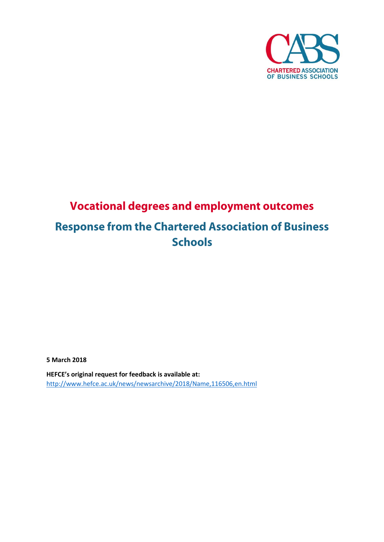

## **Vocational degrees and employment outcomes Response from the Chartered Association of Business Schools**

**5 March 2018**

**HEFCE's original request for feedback is available at:**  <http://www.hefce.ac.uk/news/newsarchive/2018/Name,116506,en.html>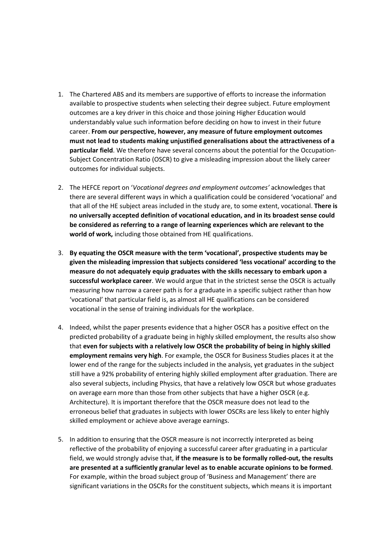- 1. The Chartered ABS and its members are supportive of efforts to increase the information available to prospective students when selecting their degree subject. Future employment outcomes are a key driver in this choice and those joining Higher Education would understandably value such information before deciding on how to invest in their future career. **From our perspective, however, any measure of future employment outcomes must not lead to students making unjustified generalisations about the attractiveness of a particular field**. We therefore have several concerns about the potential for the Occupation-Subject Concentration Ratio (OSCR) to give a misleading impression about the likely career outcomes for individual subjects.
- 2. The HEFCE report on '*Vocational degrees and employment outcomes'* acknowledges that there are several different ways in which a qualification could be considered 'vocational' and that all of the HE subject areas included in the study are, to some extent, vocational. **There is no universally accepted definition of vocational education, and in its broadest sense could be considered as referring to a range of learning experiences which are relevant to the world of work,** including those obtained from HE qualifications.
- 3. **By equating the OSCR measure with the term 'vocational', prospective students may be given the misleading impression that subjects considered 'less vocational' according to the measure do not adequately equip graduates with the skills necessary to embark upon a successful workplace career**. We would argue that in the strictest sense the OSCR is actually measuring how narrow a career path is for a graduate in a specific subject rather than how 'vocational' that particular field is, as almost all HE qualifications can be considered vocational in the sense of training individuals for the workplace.
- 4. Indeed, whilst the paper presents evidence that a higher OSCR has a positive effect on the predicted probability of a graduate being in highly skilled employment, the results also show that **even for subjects with a relatively low OSCR the probability of being in highly skilled employment remains very high**. For example, the OSCR for Business Studies places it at the lower end of the range for the subjects included in the analysis, yet graduates in the subject still have a 92% probability of entering highly skilled employment after graduation. There are also several subjects, including Physics, that have a relatively low OSCR but whose graduates on average earn more than those from other subjects that have a higher OSCR (e.g. Architecture). It is important therefore that the OSCR measure does not lead to the erroneous belief that graduates in subjects with lower OSCRs are less likely to enter highly skilled employment or achieve above average earnings.
- 5. In addition to ensuring that the OSCR measure is not incorrectly interpreted as being reflective of the probability of enjoying a successful career after graduating in a particular field, we would strongly advise that, **if the measure is to be formally rolled-out, the results are presented at a sufficiently granular level as to enable accurate opinions to be formed**. For example, within the broad subject group of 'Business and Management' there are significant variations in the OSCRs for the constituent subjects, which means it is important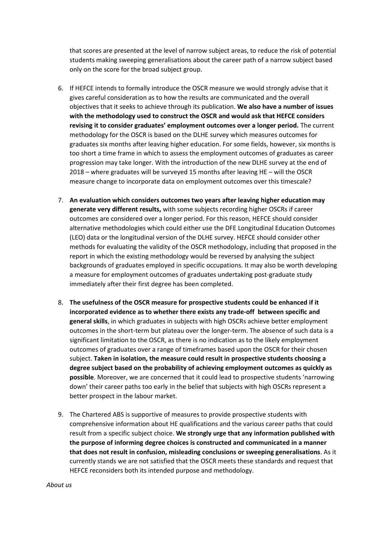that scores are presented at the level of narrow subject areas, to reduce the risk of potential students making sweeping generalisations about the career path of a narrow subject based only on the score for the broad subject group.

- 6. If HEFCE intends to formally introduce the OSCR measure we would strongly advise that it gives careful consideration as to how the results are communicated and the overall objectives that it seeks to achieve through its publication. **We also have a number of issues with the methodology used to construct the OSCR and would ask that HEFCE considers revising it to consider graduates' employment outcomes over a longer period.** The current methodology for the OSCR is based on the DLHE survey which measures outcomes for graduates six months after leaving higher education. For some fields, however, six months is too short a time frame in which to assess the employment outcomes of graduates as career progression may take longer. With the introduction of the new DLHE survey at the end of 2018 – where graduates will be surveyed 15 months after leaving HE – will the OSCR measure change to incorporate data on employment outcomes over this timescale?
- 7. **An evaluation which considers outcomes two years after leaving higher education may generate very different results,** with some subjects recording higher OSCRs if career outcomes are considered over a longer period. For this reason, HEFCE should consider alternative methodologies which could either use the DFE Longitudinal Education Outcomes (LEO) data or the longitudinal version of the DLHE survey. HEFCE should consider other methods for evaluating the validity of the OSCR methodology, including that proposed in the report in which the existing methodology would be reversed by analysing the subject backgrounds of graduates employed in specific occupations. It may also be worth developing a measure for employment outcomes of graduates undertaking post-graduate study immediately after their first degree has been completed.
- 8. **The usefulness of the OSCR measure for prospective students could be enhanced if it incorporated evidence as to whether there exists any trade-off between specific and general skills**, in which graduates in subjects with high OSCRs achieve better employment outcomes in the short-term but plateau over the longer-term. The absence of such data is a significant limitation to the OSCR, as there is no indication as to the likely employment outcomes of graduates over a range of timeframes based upon the OSCR for their chosen subject. **Taken in isolation, the measure could result in prospective students choosing a degree subject based on the probability of achieving employment outcomes as quickly as possible**. Moreover, we are concerned that it could lead to prospective students 'narrowing down' their career paths too early in the belief that subjects with high OSCRs represent a better prospect in the labour market.
- 9. The Chartered ABS is supportive of measures to provide prospective students with comprehensive information about HE qualifications and the various career paths that could result from a specific subject choice. **We strongly urge that any information published with the purpose of informing degree choices is constructed and communicated in a manner that does not result in confusion, misleading conclusions or sweeping generalisations**. As it currently stands we are not satisfied that the OSCR meets these standards and request that HEFCE reconsiders both its intended purpose and methodology.